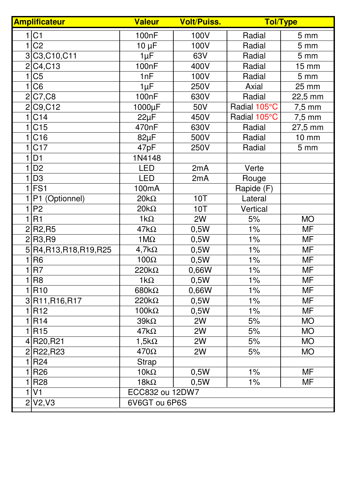| <b>Amplificateur</b> |                                | <b>Valeur</b>      | <b>Volt/Puiss.</b> | <b>Tol/Type</b> |                  |
|----------------------|--------------------------------|--------------------|--------------------|-----------------|------------------|
|                      | 1 C1                           | 100nF              | 100V               | Radial          | 5 <sub>mm</sub>  |
|                      | C <sub>2</sub>                 | $10 \mu F$         | 100V               | Radial          | $5 \, \text{mm}$ |
| 3                    | C3,C10,C11                     | $1\mu F$           | 63V                | Radial          | $5 \, \text{mm}$ |
| $\overline{2}$       | C4, C13                        | 100 <sub>n</sub> F | 400V               | Radial          | <b>15 mm</b>     |
| $\mathbf{1}$         | C <sub>5</sub>                 | 1nF                | 100V               | Radial          | 5 <sub>mm</sub>  |
| 1                    | C <sub>6</sub>                 | $1\mu F$           | 250V               | Axial           | 25 mm            |
| $\overline{2}$       | C7, C8                         | 100nF              | 630V               | Radial          | 22,5 mm          |
| $\overline{2}$       | C9, C12                        | 1000µF             | 50V                | Radial 105°C    | $7,5$ mm         |
|                      | C14                            | $22\mu F$          | 450V               | Radial 105°C    | $7,5$ mm         |
|                      | C <sub>15</sub>                | 470nF              | 630V               | Radial          | 27,5 mm          |
| 1                    | C16                            | $82\mu F$          | 500V               | Radial          | 10 mm            |
|                      | C <sub>17</sub>                | 47pF               | 250V               | Radial          | 5 <sub>mm</sub>  |
|                      | D <sub>1</sub>                 | 1N4148             |                    |                 |                  |
|                      | D <sub>2</sub>                 | <b>LED</b>         | 2mA                | Verte           |                  |
|                      | D <sub>3</sub>                 | <b>LED</b>         | 2mA                | Rouge           |                  |
| 1                    | FS <sub>1</sub>                | 100mA              |                    | Rapide (F)      |                  |
|                      | P1 (Optionnel)                 | $20k\Omega$        | <b>10T</b>         | Lateral         |                  |
| 1                    | P <sub>2</sub>                 | $20k\Omega$        | 10T                | Vertical        |                  |
| 1                    | R <sub>1</sub>                 | $1k\Omega$         | 2W                 | 5%              | <b>MO</b>        |
| $\overline{2}$       | R <sub>2</sub> ,R <sub>5</sub> | $47k\Omega$        | 0,5W               | 1%              | MF               |
| $\overline{2}$       | R <sub>3</sub> ,R <sub>9</sub> | $1 \text{M}\Omega$ | 0,5W               | $1\%$           | <b>MF</b>        |
| 5                    | R4, R13, R18, R19, R25         | $4,7k\Omega$       | 0,5W               | 1%              | MF               |
|                      | R <sub>6</sub>                 | $100\Omega$        | 0,5W               | $1\%$           | MF               |
| 1                    | R7                             | $220k\Omega$       | 0,66W              | $1\%$           | <b>MF</b>        |
| 1                    | R <sub>8</sub>                 | $1k\Omega$         | 0,5W               | $1\%$           | MF               |
|                      | <b>R10</b>                     | 680 $k\Omega$      | 0,66W              | $1\%$           | <b>MF</b>        |
|                      | 3R11, R16, R17                 | $220k\Omega$       | 0,5W               | $1\%$           | <b>MF</b>        |
|                      | <b>R12</b>                     | $100k\Omega$       | 0,5W               | $1\%$           | <b>MF</b>        |
|                      | R <sub>14</sub>                | $39k\Omega$        | 2W                 | 5%              | <b>MO</b>        |
| 1                    | R <sub>15</sub>                | $47k\Omega$        | 2W                 | 5%              | <b>MO</b>        |
| 4                    | R20, R21                       | 1,5 $k\Omega$      | 2W                 | 5%              | <b>MO</b>        |
|                      | 2R22,R23                       | $470\Omega$        | 2W                 | 5%              | <b>MO</b>        |
| 1                    | R24                            | Strap              |                    |                 |                  |
|                      | R <sub>26</sub>                | $10k\Omega$        | 0,5W               | $1\%$           | <b>MF</b>        |
|                      | <b>R28</b>                     | $18k\Omega$        | 0,5W               | $1\%$           | <b>MF</b>        |
|                      | V <sub>1</sub>                 | ECC832 ou 12DW7    |                    |                 |                  |
| $\overline{2}$       | V2, V3                         | 6V6GT ou 6P6S      |                    |                 |                  |